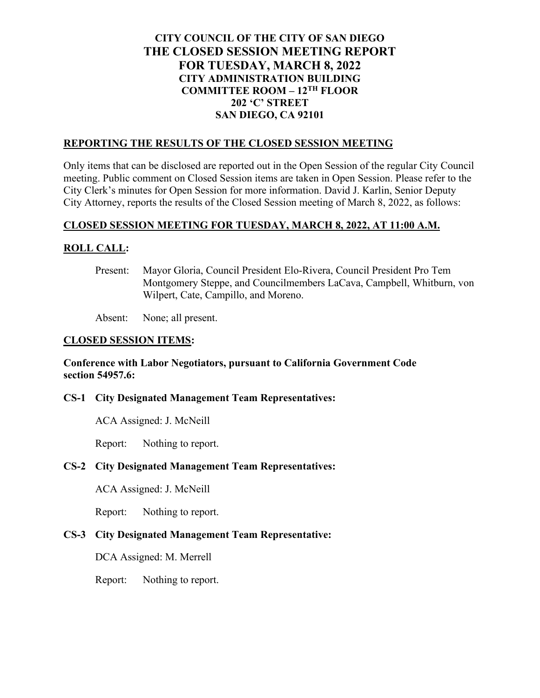# **CITY COUNCIL OF THE CITY OF SAN DIEGO THE CLOSED SESSION MEETING REPORT FOR TUESDAY, MARCH 8, 2022 CITY ADMINISTRATION BUILDING COMMITTEE ROOM – 12TH FLOOR 202 'C' STREET SAN DIEGO, CA 92101**

#### **REPORTING THE RESULTS OF THE CLOSED SESSION MEETING**

Only items that can be disclosed are reported out in the Open Session of the regular City Council meeting. Public comment on Closed Session items are taken in Open Session. Please refer to the City Clerk's minutes for Open Session for more information. David J. Karlin, Senior Deputy City Attorney, reports the results of the Closed Session meeting of March 8, 2022, as follows:

### **CLOSED SESSION MEETING FOR TUESDAY, MARCH 8, 2022, AT 11:00 A.M.**

### **ROLL CALL:**

Present: Mayor Gloria, Council President Elo-Rivera, Council President Pro Tem Montgomery Steppe, and Councilmembers LaCava, Campbell, Whitburn, von Wilpert, Cate, Campillo, and Moreno.

Absent: None; all present.

### **CLOSED SESSION ITEMS:**

### **Conference with Labor Negotiators, pursuant to California Government Code section 54957.6:**

### **CS-1 City Designated Management Team Representatives:**

ACA Assigned: J. McNeill

Report: Nothing to report.

### **CS-2 City Designated Management Team Representatives:**

ACA Assigned: J. McNeill

Report: Nothing to report.

### **CS-3 City Designated Management Team Representative:**

DCA Assigned: M. Merrell

Report: Nothing to report.